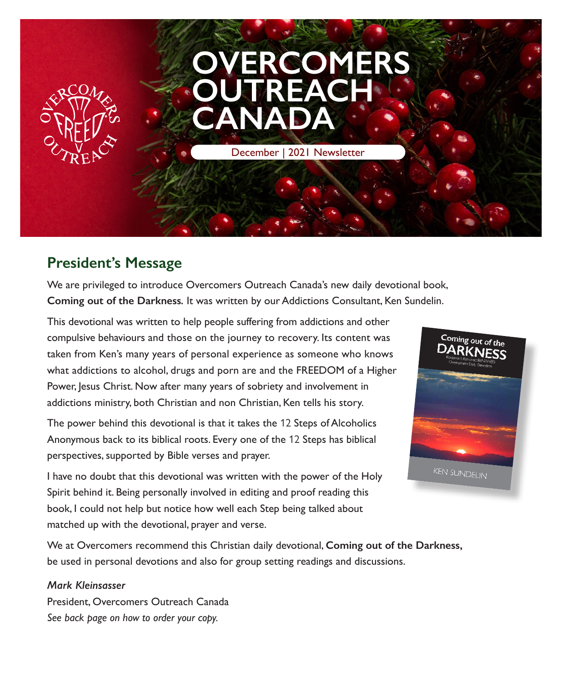

## **President's Message**

We are privileged to introduce Overcomers Outreach Canada's new daily devotional book, **Coming out of the Darkness***.* It was written by our Addictions Consultant, Ken Sundelin.

This devotional was written to help people suffering from addictions and other compulsive behaviours and those on the journey to recovery. Its content was taken from Ken's many years of personal experience as someone who knows what addictions to alcohol, drugs and porn are and the FREEDOM of a Higher Power, Jesus Christ. Now after many years of sobriety and involvement in addictions ministry, both Christian and non Christian, Ken tells his story.

The power behind this devotional is that it takes the 12 Steps of Alcoholics Anonymous back to its biblical roots. Every one of the 12 Steps has biblical perspectives, supported by Bible verses and prayer.



I have no doubt that this devotional was written with the power of the Holy Spirit behind it. Being personally involved in editing and proof reading this book, I could not help but notice how well each Step being talked about matched up with the devotional, prayer and verse.

We at Overcomers recommend this Christian daily devotional, **Coming out of the Darkness,** be used in personal devotions and also for group setting readings and discussions.

#### *Mark Kleinsasser*

President, Overcomers Outreach Canada *See back page on how to order your copy.*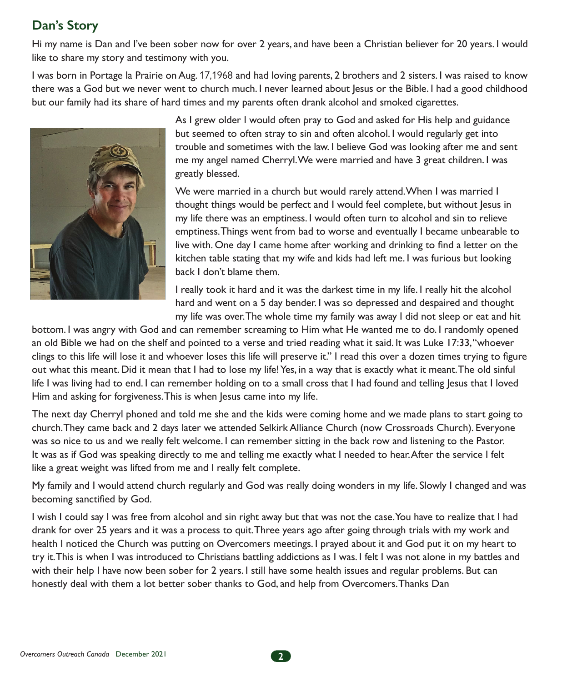## **Dan's Story**

Hi my name is Dan and I've been sober now for over 2 years, and have been a Christian believer for 20 years. I would like to share my story and testimony with you.

I was born in Portage la Prairie on Aug. 17,1968 and had loving parents, 2 brothers and 2 sisters. I was raised to know there was a God but we never went to church much. I never learned about Jesus or the Bible. I had a good childhood but our family had its share of hard times and my parents often drank alcohol and smoked cigarettes.



As I grew older I would often pray to God and asked for His help and guidance but seemed to often stray to sin and often alcohol. I would regularly get into trouble and sometimes with the law. I believe God was looking after me and sent me my angel named Cherryl. We were married and have 3 great children. I was greatly blessed.

We were married in a church but would rarely attend. When I was married I thought things would be perfect and I would feel complete, but without Jesus in my life there was an emptiness. I would often turn to alcohol and sin to relieve emptiness. Things went from bad to worse and eventually I became unbearable to live with. One day I came home after working and drinking to find a letter on the kitchen table stating that my wife and kids had left me. I was furious but looking back I don't blame them.

I really took it hard and it was the darkest time in my life. I really hit the alcohol hard and went on a 5 day bender. I was so depressed and despaired and thought my life was over. The whole time my family was away I did not sleep or eat and hit

bottom. I was angry with God and can remember screaming to Him what He wanted me to do. I randomly opened an old Bible we had on the shelf and pointed to a verse and tried reading what it said. It was Luke 17:33, "whoever clings to this life will lose it and whoever loses this life will preserve it." I read this over a dozen times trying to figure out what this meant. Did it mean that I had to lose my life! Yes, in a way that is exactly what it meant. The old sinful life I was living had to end. I can remember holding on to a small cross that I had found and telling Jesus that I loved Him and asking for forgiveness. This is when Jesus came into my life.

The next day Cherryl phoned and told me she and the kids were coming home and we made plans to start going to church. They came back and 2 days later we attended Selkirk Alliance Church (now Crossroads Church). Everyone was so nice to us and we really felt welcome. I can remember sitting in the back row and listening to the Pastor. It was as if God was speaking directly to me and telling me exactly what I needed to hear. After the service I felt like a great weight was lifted from me and I really felt complete.

My family and I would attend church regularly and God was really doing wonders in my life. Slowly I changed and was becoming sanctified by God.

I wish I could say I was free from alcohol and sin right away but that was not the case. You have to realize that I had drank for over 25 years and it was a process to quit. Three years ago after going through trials with my work and health I noticed the Church was putting on Overcomers meetings. I prayed about it and God put it on my heart to try it. This is when I was introduced to Christians battling addictions as I was. I felt I was not alone in my battles and with their help I have now been sober for 2 years. I still have some health issues and regular problems. But can honestly deal with them a lot better sober thanks to God, and help from Overcomers. Thanks Dan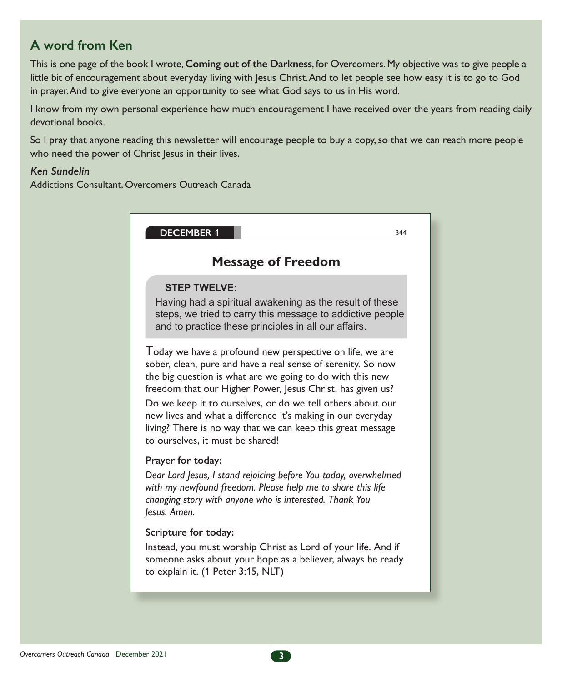### **A word from Ken**

This is one page of the book I wrote, **Coming out of the Darkness**, for Overcomers. My objective was to give people a little bit of encouragement about everyday living with Jesus Christ. And to let people see how easy it is to go to God in prayer. And to give everyone an opportunity to see what God says to us in His word.

I know from my own personal experience how much encouragement I have received over the years from reading daily devotional books.

So I pray that anyone reading this newsletter will encourage people to buy a copy, so that we can reach more people who need the power of Christ Jesus in their lives.

#### *Ken Sundelin*

Addictions Consultant, Overcomers Outreach Canada

| <b>DECEMBER 1</b>                                                                                                                                                                                                                                                                                                                                                                                                                                                                   | 344 |  |
|-------------------------------------------------------------------------------------------------------------------------------------------------------------------------------------------------------------------------------------------------------------------------------------------------------------------------------------------------------------------------------------------------------------------------------------------------------------------------------------|-----|--|
| <b>Message of Freedom</b>                                                                                                                                                                                                                                                                                                                                                                                                                                                           |     |  |
| <b>STEP TWELVE:</b><br>Having had a spiritual awakening as the result of these<br>steps, we tried to carry this message to addictive people<br>and to practice these principles in all our affairs.                                                                                                                                                                                                                                                                                 |     |  |
| Today we have a profound new perspective on life, we are<br>sober, clean, pure and have a real sense of serenity. So now<br>the big question is what are we going to do with this new<br>freedom that our Higher Power, Jesus Christ, has given us?<br>Do we keep it to ourselves, or do we tell others about our<br>new lives and what a difference it's making in our everyday<br>living? There is no way that we can keep this great message<br>to ourselves, it must be shared! |     |  |
| Prayer for today:<br>Dear Lord Jesus, I stand rejoicing before You today, overwhelmed<br>with my newfound freedom. Please help me to share this life<br>changing story with anyone who is interested. Thank You<br>Jesus. Amen.                                                                                                                                                                                                                                                     |     |  |
| Scripture for today:<br>Instead, you must worship Christ as Lord of your life. And if<br>someone asks about your hope as a believer, always be ready<br>to explain it. (1 Peter 3:15, NLT)                                                                                                                                                                                                                                                                                          |     |  |